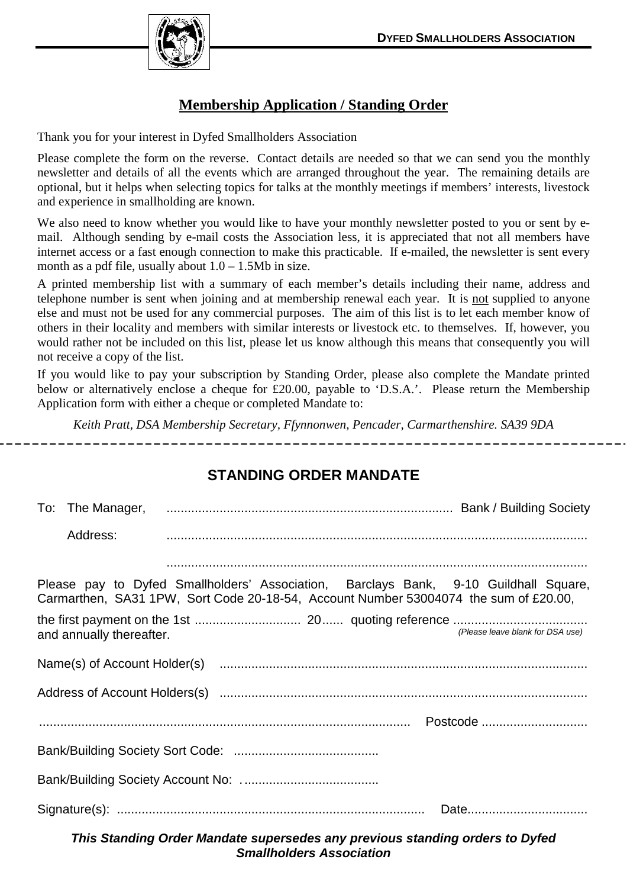

## **Membership Application / Standing Order**

Thank you for your interest in Dyfed Smallholders Association

Please complete the form on the reverse. Contact details are needed so that we can send you the monthly newsletter and details of all the events which are arranged throughout the year. The remaining details are optional, but it helps when selecting topics for talks at the monthly meetings if members' interests, livestock and experience in smallholding are known.

We also need to know whether you would like to have your monthly newsletter posted to you or sent by email. Although sending by e-mail costs the Association less, it is appreciated that not all members have internet access or a fast enough connection to make this practicable. If e-mailed, the newsletter is sent every month as a pdf file, usually about  $1.0 - 1.5Mb$  in size.

A printed membership list with a summary of each member's details including their name, address and telephone number is sent when joining and at membership renewal each year. It is not supplied to anyone else and must not be used for any commercial purposes. The aim of this list is to let each member know of others in their locality and members with similar interests or livestock etc. to themselves. If, however, you would rather not be included on this list, please let us know although this means that consequently you will not receive a copy of the list.

If you would like to pay your subscription by Standing Order, please also complete the Mandate printed below or alternatively enclose a cheque for £20.00, payable to 'D.S.A.'. Please return the Membership Application form with either a cheque or completed Mandate to:

*Keith Pratt, DSA Membership Secretary, Ffynnonwen, Pencader, Carmarthenshire. SA39 9DA* 

## **STANDING ORDER MANDATE**

|                                                                                                                                                                              | Address: |  |  |  |  |  |  |  |
|------------------------------------------------------------------------------------------------------------------------------------------------------------------------------|----------|--|--|--|--|--|--|--|
|                                                                                                                                                                              |          |  |  |  |  |  |  |  |
| Please pay to Dyfed Smallholders' Association, Barclays Bank, 9-10 Guildhall Square,<br>Carmarthen, SA31 1PW, Sort Code 20-18-54, Account Number 53004074 the sum of £20.00, |          |  |  |  |  |  |  |  |
| (Please leave blank for DSA use)<br>and annually thereafter.                                                                                                                 |          |  |  |  |  |  |  |  |
|                                                                                                                                                                              |          |  |  |  |  |  |  |  |
|                                                                                                                                                                              |          |  |  |  |  |  |  |  |
|                                                                                                                                                                              |          |  |  |  |  |  |  |  |
|                                                                                                                                                                              |          |  |  |  |  |  |  |  |
|                                                                                                                                                                              |          |  |  |  |  |  |  |  |
|                                                                                                                                                                              |          |  |  |  |  |  |  |  |

**This Standing Order Mandate supersedes any previous standing orders to Dyfed Smallholders Association**